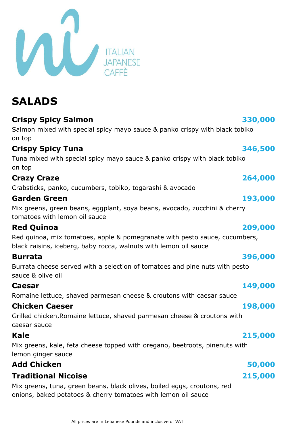| ne lettuce, shaved parmesan cheese & cro |
|------------------------------------------|
| en Caeser                                |
| chicken, Romaine lettuce, shaved parmes  |

# **Caesar**

Grilled chicken,Romaine lettuce, shaved parmesan cheese & croutons with caesar sauce

### **Kale**

Mix greens, kale, feta cheese topped with oregano, beetroots, pinenuts with lemon ginger sauce

### **Add Chicken 50,000**

### **Traditional Nicoise**

Mix greens, tuna, green beans, black olives, boiled eggs, croutons, red onions, baked potatoes & cherry tomatoes with lemon oil sauce

# **SALADS**

**Crispy Spicy Salmon**

Salmon mixed with special spicy mayo sauce & panko crispy with black tobiko on top

### **Crispy Spicy Tuna**

Tuna mixed with special spicy mayo sauce & panko crispy with black tobiko on top

### **Crazy Craze**

Crabsticks, panko, cucumbers, tobiko, togarashi & avocado

### **Garden Green**

Mix greens, green beans, eggplant, soya beans, avocado, zucchini & cherry tomatoes with lemon oil sauce

### **Red Quinoa**

Red quinoa, mix tomatoes, apple & pomegranate with pesto sauce, cucumbers, black raisins, iceberg, baby rocca, walnuts with lemon oil sauce

### **Burrata**

Burrata cheese served with a selection of tomatoes and pine nuts with pesto sauce & olive oil

Romaine lettuce, shaved parmesan cheese & croutons with caesar sauce

### **Chick**

### All prices are in Lebanese Pounds and inclusive of VAT

### **264,000**

### **193,000**

### **209,000**

### **396,000**

### **149,000**

### **198,000**

# **215,000**



 **346,500**

 **330,000**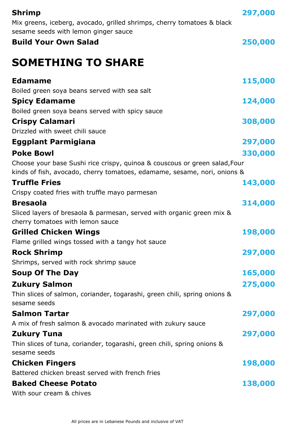| Shrimp                                                                                                                                                 | 297,000 |
|--------------------------------------------------------------------------------------------------------------------------------------------------------|---------|
| Mix greens, iceberg, avocado, grilled shrimps, cherry tomatoes & black                                                                                 |         |
| sesame seeds with lemon ginger sauce                                                                                                                   |         |
| <b>Build Your Own Salad</b>                                                                                                                            | 250,000 |
| <b>SOMETHING TO SHARE</b>                                                                                                                              |         |
| <b>Edamame</b>                                                                                                                                         | 115,000 |
| Boiled green soya beans served with sea salt                                                                                                           |         |
| <b>Spicy Edamame</b>                                                                                                                                   | 124,000 |
| Boiled green soya beans served with spicy sauce                                                                                                        |         |
| <b>Crispy Calamari</b>                                                                                                                                 | 308,000 |
| Drizzled with sweet chili sauce                                                                                                                        |         |
| <b>Eggplant Parmigiana</b>                                                                                                                             | 297,000 |
| <b>Poke Bowl</b>                                                                                                                                       | 330,000 |
| Choose your base Sushi rice crispy, quinoa & couscous or green salad, Four<br>kinds of fish, avocado, cherry tomatoes, edamame, sesame, nori, onions & |         |
| <b>Truffle Fries</b>                                                                                                                                   | 143,000 |
| Crispy coated fries with truffle mayo parmesan                                                                                                         |         |
| <b>Bresaola</b>                                                                                                                                        | 314,000 |
| Sliced layers of bresaola & parmesan, served with organic green mix &<br>cherry tomatoes with lemon sauce                                              |         |
| <b>Grilled Chicken Wings</b>                                                                                                                           | 198,000 |
| Flame grilled wings tossed with a tangy hot sauce                                                                                                      |         |
| <b>Rock Shrimp</b>                                                                                                                                     | 297,000 |
| Shrimps, served with rock shrimp sauce                                                                                                                 |         |
| <b>Soup Of The Day</b>                                                                                                                                 | 165,000 |
| <b>Zukury Salmon</b>                                                                                                                                   | 275,000 |
| Thin slices of salmon, coriander, togarashi, green chili, spring onions &<br>sesame seeds                                                              |         |
| <b>Salmon Tartar</b>                                                                                                                                   | 297,000 |
| A mix of fresh salmon & avocado marinated with zukury sauce                                                                                            |         |
| <b>Zukury Tuna</b>                                                                                                                                     | 297,000 |
| Thin slices of tuna, coriander, togarashi, green chili, spring onions &<br>sesame seeds                                                                |         |
| <b>Chicken Fingers</b>                                                                                                                                 | 198,000 |
| Battered chicken breast served with french fries                                                                                                       |         |
| <b>Baked Cheese Potato</b>                                                                                                                             | 138,000 |
| With sour cream & chives                                                                                                                               |         |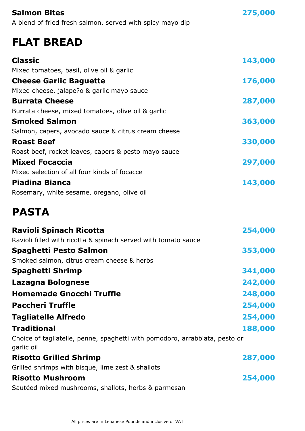| <b>Salmon Bites</b><br>A blend of fried fresh salmon, served with spicy mayo dip | 275,000 |
|----------------------------------------------------------------------------------|---------|
| <b>FLAT BREAD</b>                                                                |         |
| <b>Classic</b>                                                                   | 143,000 |
| Mixed tomatoes, basil, olive oil & garlic                                        |         |
| <b>Cheese Garlic Baguette</b>                                                    | 176,000 |
| Mixed cheese, jalape?o & garlic mayo sauce                                       |         |
| <b>Burrata Cheese</b>                                                            | 287,000 |
| Burrata cheese, mixed tomatoes, olive oil & garlic                               |         |
| <b>Smoked Salmon</b>                                                             | 363,000 |
| Salmon, capers, avocado sauce & citrus cream cheese                              |         |
| <b>Roast Beef</b>                                                                | 330,000 |
| Roast beef, rocket leaves, capers & pesto mayo sauce                             |         |
| <b>Mixed Focaccia</b>                                                            | 297,000 |
| Mixed selection of all four kinds of focacce                                     |         |
| <b>Piadina Bianca</b>                                                            | 143,000 |
| Rosemary, white sesame, oregano, olive oil                                       |         |

# **PASTA**

| 254,000                                                                     |
|-----------------------------------------------------------------------------|
|                                                                             |
| 353,000                                                                     |
|                                                                             |
| 341,000                                                                     |
| 242,000                                                                     |
| 248,000                                                                     |
| 254,000                                                                     |
| 254,000                                                                     |
| 188,000                                                                     |
| Choice of tagliatelle, penne, spaghetti with pomodoro, arrabbiata, pesto or |
| 287,000                                                                     |
|                                                                             |
| 254,000                                                                     |
|                                                                             |
|                                                                             |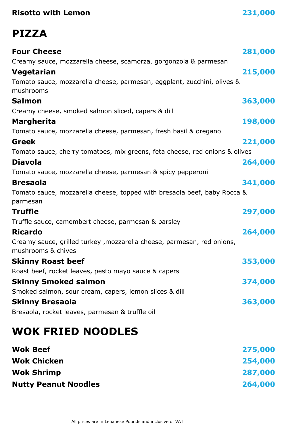| <b>Risotto with Lemon</b> |
|---------------------------|
|---------------------------|

### **Risotto with Lemon 231,000**

# **PIZZA**

| <b>Four Cheese</b>                                                                            | 281,000 |
|-----------------------------------------------------------------------------------------------|---------|
| Creamy sauce, mozzarella cheese, scamorza, gorgonzola & parmesan                              |         |
| Vegetarian                                                                                    | 215,000 |
| Tomato sauce, mozzarella cheese, parmesan, eggplant, zucchini, olives &<br>mushrooms          |         |
| <b>Salmon</b>                                                                                 | 363,000 |
| Creamy cheese, smoked salmon sliced, capers & dill                                            |         |
| <b>Margherita</b>                                                                             | 198,000 |
| Tomato sauce, mozzarella cheese, parmesan, fresh basil & oregano                              |         |
| <b>Greek</b>                                                                                  | 221,000 |
| Tomato sauce, cherry tomatoes, mix greens, feta cheese, red onions & olives                   |         |
| <b>Diavola</b>                                                                                | 264,000 |
| Tomato sauce, mozzarella cheese, parmesan & spicy pepperoni                                   |         |
| <b>Bresaola</b>                                                                               | 341,000 |
| Tomato sauce, mozzarella cheese, topped with bresaola beef, baby Rocca &<br>parmesan          |         |
| <b>Truffle</b>                                                                                | 297,000 |
| Truffle sauce, camembert cheese, parmesan & parsley                                           |         |
| <b>Ricardo</b>                                                                                | 264,000 |
| Creamy sauce, grilled turkey , mozzarella cheese, parmesan, red onions,<br>mushrooms & chives |         |
| <b>Skinny Roast beef</b>                                                                      | 353,000 |
| Roast beef, rocket leaves, pesto mayo sauce & capers                                          |         |
| <b>Skinny Smoked salmon</b>                                                                   | 374,000 |
| Smoked salmon, sour cream, capers, lemon slices & dill                                        |         |
| <b>Skinny Bresaola</b>                                                                        | 363,000 |
| Bresaola, rocket leaves, parmesan & truffle oil                                               |         |
| <b>WOK FRIED NOODLES</b>                                                                      |         |
|                                                                                               |         |

| <b>Wok Beef</b>             | 275,000 |
|-----------------------------|---------|
| <b>Wok Chicken</b>          | 254,000 |
| <b>Wok Shrimp</b>           | 287,000 |
| <b>Nutty Peanut Noodles</b> | 264,000 |
|                             |         |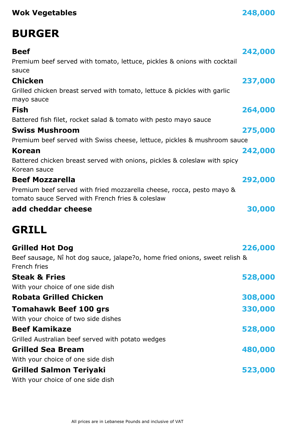### **Wok Vegetables 248,000**

# **BURGER**

| <b>Beef</b>                                                                                                               | 242,000 |
|---------------------------------------------------------------------------------------------------------------------------|---------|
| Premium beef served with tomato, lettuce, pickles & onions with cocktail<br>sauce                                         |         |
| <b>Chicken</b>                                                                                                            | 237,000 |
| Grilled chicken breast served with tomato, lettuce & pickles with garlic<br>mayo sauce                                    |         |
| <b>Fish</b>                                                                                                               | 264,000 |
| Battered fish filet, rocket salad & tomato with pesto mayo sauce                                                          |         |
| <b>Swiss Mushroom</b>                                                                                                     | 275,000 |
| Premium beef served with Swiss cheese, lettuce, pickles & mushroom sauce                                                  |         |
| <b>Korean</b>                                                                                                             | 242,000 |
| Battered chicken breast served with onions, pickles & coleslaw with spicy<br>Korean sauce                                 |         |
| <b>Beef Mozzarella</b>                                                                                                    | 292,000 |
| Premium beef served with fried mozzarella cheese, rocca, pesto mayo &<br>tomato sauce Served with French fries & coleslaw |         |
| add cheddar cheese                                                                                                        | 30,000  |
| <b>GRILL</b>                                                                                                              |         |
| <b>Grilled Hot Dog</b>                                                                                                    | 226,000 |
| Beef sausage, Nî hot dog sauce, jalape?o, home fried onions, sweet relish &<br>French fries                               |         |
| <b>Steak &amp; Fries</b>                                                                                                  | 528,000 |
| With your choice of one side dish                                                                                         |         |
| <b>Robata Grilled Chicken</b>                                                                                             | 308,000 |
| <b>Tomahawk Beef 100 grs</b>                                                                                              | 330,000 |
| With your choice of two side dishes                                                                                       |         |
| <b>Beef Kamikaze</b>                                                                                                      | 528,000 |
| Grilled Australian beef served with potato wedges                                                                         |         |
| <b>Grilled Sea Bream</b>                                                                                                  | 480,000 |
| With your choice of one side dish                                                                                         |         |
| <b>Grilled Salmon Teriyaki</b>                                                                                            | 523,000 |
| With your choice of one side dish                                                                                         |         |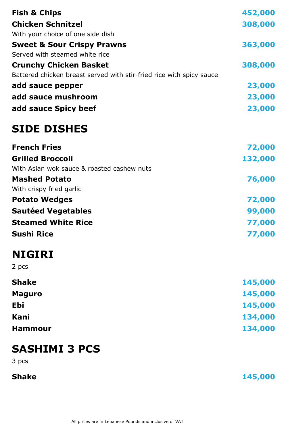| <b>Fish &amp; Chips</b>                                              | 452,000 |
|----------------------------------------------------------------------|---------|
| <b>Chicken Schnitzel</b>                                             | 308,000 |
| With your choice of one side dish                                    |         |
| <b>Sweet &amp; Sour Crispy Prawns</b>                                | 363,000 |
| Served with steamed white rice                                       |         |
| <b>Crunchy Chicken Basket</b>                                        | 308,000 |
| Battered chicken breast served with stir-fried rice with spicy sauce |         |
| add sauce pepper                                                     | 23,000  |
| add sauce mushroom                                                   | 23,000  |
| add sauce Spicy beef                                                 | 23,000  |
| <b>SIDE DISHES</b>                                                   |         |
| <b>French Fries</b>                                                  | 72,000  |
| <b>Grilled Broccoli</b>                                              | 132,000 |
| With Asian wok sauce & roasted cashew nuts                           |         |
| <b>Mashed Potato</b>                                                 | 76,000  |
| With crispy fried garlic                                             |         |
| <b>Potato Wedges</b>                                                 | 72,000  |
| <b>Sautéed Vegetables</b>                                            | 99,000  |
| <b>Steamed White Rice</b>                                            | 77,000  |
| <b>Sushi Rice</b>                                                    | 77,000  |
| <b>NIGIRI</b>                                                        |         |
| 2 pcs                                                                |         |
| <b>Shake</b>                                                         | 145,000 |
| <b>Maguro</b>                                                        | 145,000 |
| <b>Ebi</b>                                                           | 145,000 |
| Kani                                                                 | 134,000 |
| <b>Hammour</b>                                                       | 134,000 |
| <b>SASHIMI 3 PCS</b><br>3 pcs                                        |         |

**Shake** 145,000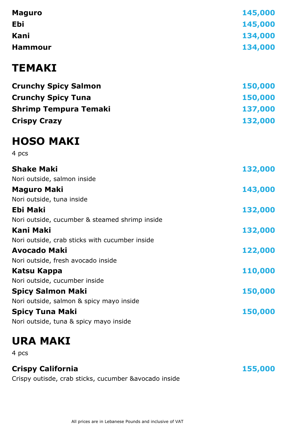| <b>Maguro</b>                                  | 145,000 |
|------------------------------------------------|---------|
| Ebi                                            | 145,000 |
| Kani                                           | 134,000 |
| <b>Hammour</b>                                 | 134,000 |
| <b>TEMAKI</b>                                  |         |
| <b>Crunchy Spicy Salmon</b>                    | 150,000 |
| <b>Crunchy Spicy Tuna</b>                      | 150,000 |
| <b>Shrimp Tempura Temaki</b>                   | 137,000 |
| <b>Crispy Crazy</b>                            | 132,000 |
| <b>HOSO MAKI</b>                               |         |
| 4 pcs                                          |         |
| <b>Shake Maki</b>                              | 132,000 |
| Nori outside, salmon inside                    |         |
| <b>Maguro Maki</b>                             | 143,000 |
| Nori outside, tuna inside                      |         |
| <b>Ebi Maki</b>                                | 132,000 |
| Nori outside, cucumber & steamed shrimp inside |         |
| <b>Kani Maki</b>                               | 132,000 |
| Nori outside, crab sticks with cucumber inside |         |
| <b>Avocado Maki</b>                            | 122,000 |
| Nori outside, fresh avocado inside             |         |
| Katsu Kappa                                    | 110,000 |
| Nori outside, cucumber inside                  |         |
| <b>Spicy Salmon Maki</b>                       | 150,000 |
| Nori outside, salmon & spicy mayo inside       |         |
| <b>Spicy Tuna Maki</b>                         | 150,000 |
| Nori outside, tuna & spicy mayo inside         |         |

# **URA MAKI**

4 pcs

### **Crispy California**

Crispy outisde, crab sticks, cucumber &avocado inside

 **155,000**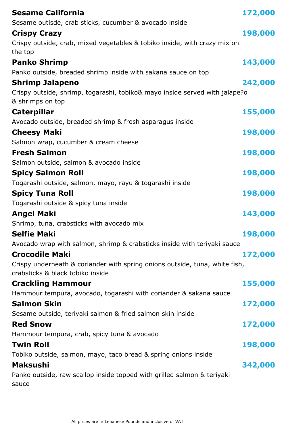| <b>Sesame California</b><br>Sesame outisde, crab sticks, cucumber & avocado inside                              | 172,000 |
|-----------------------------------------------------------------------------------------------------------------|---------|
| <b>Crispy Crazy</b>                                                                                             | 198,000 |
| Crispy outside, crab, mixed vegetables & tobiko inside, with crazy mix on                                       |         |
| the top                                                                                                         |         |
| <b>Panko Shrimp</b>                                                                                             | 143,000 |
| Panko outside, breaded shrimp inside with sakana sauce on top                                                   |         |
| <b>Shrimp Jalapeno</b>                                                                                          | 242,000 |
| Crispy outside, shrimp, togarashi, tobiko& mayo inside served with jalape?o<br>& shrimps on top                 |         |
| <b>Caterpillar</b>                                                                                              | 155,000 |
| Avocado outside, breaded shrimp & fresh asparagus inside                                                        |         |
| <b>Cheesy Maki</b>                                                                                              | 198,000 |
| Salmon wrap, cucumber & cream cheese                                                                            |         |
| <b>Fresh Salmon</b>                                                                                             | 198,000 |
| Salmon outside, salmon & avocado inside                                                                         |         |
| <b>Spicy Salmon Roll</b>                                                                                        | 198,000 |
| Togarashi outside, salmon, mayo, rayu & togarashi inside                                                        |         |
| <b>Spicy Tuna Roll</b>                                                                                          | 198,000 |
| Togarashi outside & spicy tuna inside                                                                           |         |
| <b>Angel Maki</b>                                                                                               | 143,000 |
| Shrimp, tuna, crabsticks with avocado mix                                                                       |         |
| <b>Selfie Maki</b>                                                                                              | 198,000 |
| Avocado wrap with salmon, shrimp & crabsticks inside with teriyaki sauce                                        |         |
| <b>Crocodile Maki</b>                                                                                           | 172,000 |
| Crispy underneath & coriander with spring onions outside, tuna, white fish,<br>crabsticks & black tobiko inside |         |
| <b>Crackling Hammour</b>                                                                                        | 155,000 |
| Hammour tempura, avocado, togarashi with coriander & sakana sauce                                               |         |
| <b>Salmon Skin</b>                                                                                              | 172,000 |
| Sesame outside, teriyaki salmon & fried salmon skin inside                                                      |         |
| <b>Red Snow</b>                                                                                                 | 172,000 |
| Hammour tempura, crab, spicy tuna & avocado                                                                     |         |
| <b>Twin Roll</b>                                                                                                | 198,000 |
| Tobiko outside, salmon, mayo, taco bread & spring onions inside                                                 |         |
| <b>Maksushi</b>                                                                                                 | 342,000 |
| Panko outside, raw scallop inside topped with grilled salmon & teriyaki<br>sauce                                |         |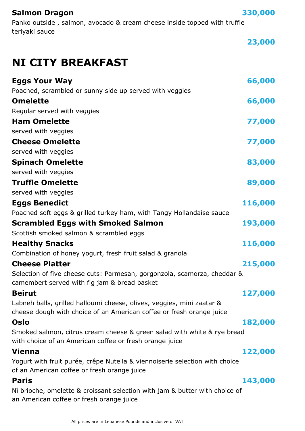| <b>Salmon Dragon</b> |
|----------------------|
|----------------------|

Panko outside , salmon, avocado & cream cheese inside topped with truffle teriyaki sauce

 **23,000**

 **330,000**

# **NI CITY BREAKFAST**

| <b>Eggs Your Way</b>                                                                                                                          | 66,000  |
|-----------------------------------------------------------------------------------------------------------------------------------------------|---------|
| Poached, scrambled or sunny side up served with veggies                                                                                       |         |
| <b>Omelette</b>                                                                                                                               | 66,000  |
| Regular served with veggies                                                                                                                   |         |
| <b>Ham Omelette</b>                                                                                                                           | 77,000  |
| served with veggies                                                                                                                           |         |
| <b>Cheese Omelette</b>                                                                                                                        | 77,000  |
| served with veggies                                                                                                                           |         |
| <b>Spinach Omelette</b>                                                                                                                       | 83,000  |
| served with veggies                                                                                                                           |         |
| <b>Truffle Omelette</b>                                                                                                                       | 89,000  |
| served with veggies                                                                                                                           |         |
| <b>Eggs Benedict</b>                                                                                                                          | 116,000 |
| Poached soft eggs & grilled turkey ham, with Tangy Hollandaise sauce                                                                          |         |
| <b>Scrambled Eggs with Smoked Salmon</b>                                                                                                      | 193,000 |
| Scottish smoked salmon & scrambled eggs                                                                                                       |         |
| <b>Healthy Snacks</b>                                                                                                                         | 116,000 |
| Combination of honey yogurt, fresh fruit salad & granola                                                                                      |         |
| <b>Cheese Platter</b>                                                                                                                         | 215,000 |
| Selection of five cheese cuts: Parmesan, gorgonzola, scamorza, cheddar &<br>camembert served with fig jam & bread basket                      |         |
| <b>Beirut</b>                                                                                                                                 | 127,000 |
| Labneh balls, grilled halloumi cheese, olives, veggies, mini zaatar &<br>cheese dough with choice of an American coffee or fresh orange juice |         |
| Oslo                                                                                                                                          | 182,000 |
| Smoked salmon, citrus cream cheese & green salad with white & rye bread<br>with choice of an American coffee or fresh orange juice            |         |
| <b>Vienna</b>                                                                                                                                 | 122,000 |
| Yogurt with fruit purée, crêpe Nutella & viennoiserie selection with choice<br>of an American coffee or fresh orange juice                    |         |
| <b>Paris</b>                                                                                                                                  | 143,000 |
| Nî brioche, omelette & croissant selection with jam & butter with choice of<br>an American coffee or fresh orange juice                       |         |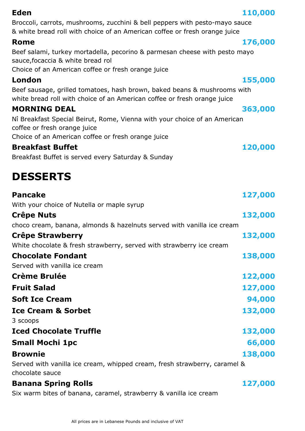| Eden                                                                                                                                                 | 110,000 |
|------------------------------------------------------------------------------------------------------------------------------------------------------|---------|
| Broccoli, carrots, mushrooms, zucchini & bell peppers with pesto-mayo sauce                                                                          |         |
| & white bread roll with choice of an American coffee or fresh orange juice                                                                           |         |
| <b>Rome</b>                                                                                                                                          | 176,000 |
| Beef salami, turkey mortadella, pecorino & parmesan cheese with pesto mayo<br>sauce, focaccia & white bread rol                                      |         |
| Choice of an American coffee or fresh orange juice                                                                                                   |         |
| London                                                                                                                                               | 155,000 |
| Beef sausage, grilled tomatoes, hash brown, baked beans & mushrooms with<br>white bread roll with choice of an American coffee or fresh orange juice |         |
| <b>MORNING DEAL</b>                                                                                                                                  | 363,000 |
| Nî Breakfast Special Beirut, Rome, Vienna with your choice of an American<br>coffee or fresh orange juice                                            |         |
| Choice of an American coffee or fresh orange juice                                                                                                   |         |
| <b>Breakfast Buffet</b>                                                                                                                              | 120,000 |
| Breakfast Buffet is served every Saturday & Sunday                                                                                                   |         |
| <b>DESSERTS</b>                                                                                                                                      |         |
| <b>Pancake</b>                                                                                                                                       | 127,000 |
| With your choice of Nutella or maple syrup                                                                                                           |         |
| <b>Crêpe Nuts</b>                                                                                                                                    | 132,000 |
| choco cream, banana, almonds & hazelnuts served with vanilla ice cream                                                                               |         |
| Crêpe Strawberry                                                                                                                                     | 132,000 |
| White chocolate & fresh strawberry, served with strawberry ice cream                                                                                 |         |
| <b>Chocolate Fondant</b>                                                                                                                             | 138,000 |
| Served with vanilla ice cream                                                                                                                        |         |
| <b>Crème Brulée</b>                                                                                                                                  | 122,000 |
| <b>Fruit Salad</b>                                                                                                                                   | 127,000 |
| <b>Soft Ice Cream</b>                                                                                                                                | 94,000  |
| <b>Ice Cream &amp; Sorbet</b>                                                                                                                        | 132,000 |
| 3 scoops                                                                                                                                             |         |
| <b>Iced Chocolate Truffle</b>                                                                                                                        | 132,000 |
| <b>Small Mochi 1pc</b>                                                                                                                               | 66,000  |
| <b>Brownie</b>                                                                                                                                       | 138,000 |
| Served with vanilla ice cream, whipped cream, fresh strawberry, caramel &<br>chocolate sauce                                                         |         |
| <b>Banana Spring Rolls</b>                                                                                                                           | 127,000 |

Six warm bites of banana, caramel, strawberry & vanilla ice cream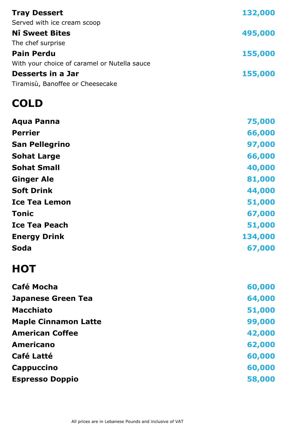| <b>Tray Dessert</b>                          | 132,000 |
|----------------------------------------------|---------|
| Served with ice cream scoop                  |         |
| <b>Nî Sweet Bites</b>                        | 495,000 |
| The chef surprise                            |         |
| <b>Pain Perdu</b>                            | 155,000 |
| With your choice of caramel or Nutella sauce |         |
| Desserts in a Jar                            | 155,000 |
| Tiramisù, Banoffee or Cheesecake             |         |
|                                              |         |

# **COLD**

| <b>Aqua Panna</b>           | 75,000  |
|-----------------------------|---------|
| <b>Perrier</b>              | 66,000  |
| <b>San Pellegrino</b>       | 97,000  |
| <b>Sohat Large</b>          | 66,000  |
| <b>Sohat Small</b>          | 40,000  |
| <b>Ginger Ale</b>           | 81,000  |
| <b>Soft Drink</b>           | 44,000  |
| <b>Ice Tea Lemon</b>        | 51,000  |
| <b>Tonic</b>                | 67,000  |
| <b>Ice Tea Peach</b>        | 51,000  |
| <b>Energy Drink</b>         | 134,000 |
| Soda                        | 67,000  |
| <b>HOT</b>                  |         |
| <b>Café Mocha</b>           | 60,000  |
| <b>Japanese Green Tea</b>   | 64,000  |
| <b>Macchiato</b>            | 51,000  |
| <b>Maple Cinnamon Latte</b> | 99,000  |
| <b>American Coffee</b>      | 42,000  |
| <b>Americano</b>            | 62,000  |
| <b>Café Latté</b>           | 60,000  |
| <b>Cappuccino</b>           | 60,000  |
|                             |         |

**Espresso Doppio 58,000**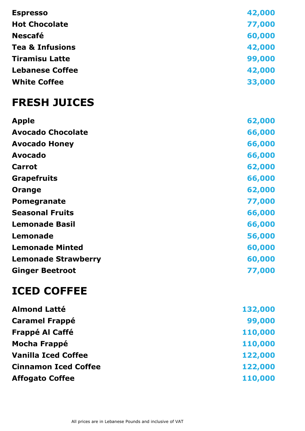| <b>Espresso</b>            | 42,000 |
|----------------------------|--------|
| <b>Hot Chocolate</b>       | 77,000 |
| <b>Nescafé</b>             | 60,000 |
| <b>Tea &amp; Infusions</b> | 42,000 |
| <b>Tiramisu Latte</b>      | 99,000 |
| <b>Lebanese Coffee</b>     | 42,000 |
| <b>White Coffee</b>        | 33,000 |
| <b>FRESH JUICES</b>        |        |
| <b>Apple</b>               |        |
|                            | 62,000 |
| <b>Avocado Chocolate</b>   | 66,000 |
| <b>Avocado Honey</b>       | 66,000 |
| <b>Avocado</b>             | 66,000 |
| <b>Carrot</b>              | 62,000 |

| <b>Orange</b>              | 62,000 |
|----------------------------|--------|
| <b>Pomegranate</b>         | 77,000 |
| <b>Seasonal Fruits</b>     | 66,000 |
| <b>Lemonade Basil</b>      | 66,000 |
| Lemonade                   | 56,000 |
| <b>Lemonade Minted</b>     | 60,000 |
| <b>Lemonade Strawberry</b> | 60,000 |
| <b>Ginger Beetroot</b>     | 77,000 |

# **ICED COFFEE**

| <b>Almond Latté</b>         | 132,000 |
|-----------------------------|---------|
| <b>Caramel Frappé</b>       | 99,000  |
| <b>Frappé Al Caffé</b>      | 110,000 |
| <b>Mocha Frappé</b>         | 110,000 |
| <b>Vanilla Iced Coffee</b>  | 122,000 |
| <b>Cinnamon Iced Coffee</b> | 122,000 |
| <b>Affogato Coffee</b>      | 110,000 |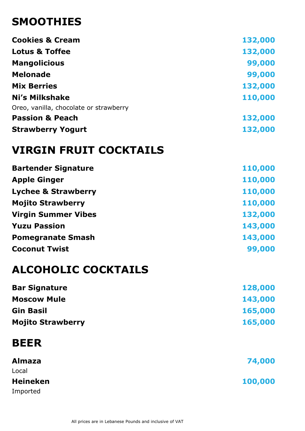# **SMOOTHIES**

| <b>Cookies &amp; Cream</b>             | 132,000 |
|----------------------------------------|---------|
| <b>Lotus &amp; Toffee</b>              | 132,000 |
| <b>Mangolicious</b>                    | 99,000  |
| <b>Melonade</b>                        | 99,000  |
| <b>Mix Berries</b>                     | 132,000 |
| Ni's Milkshake                         | 110,000 |
| Oreo, vanilla, chocolate or strawberry |         |
| <b>Passion &amp; Peach</b>             | 132,000 |
| <b>Strawberry Yogurt</b>               | 132,000 |

# **VIRGIN FRUIT COCKTAILS**

| <b>Bartender Signature</b>     | 110,000 |
|--------------------------------|---------|
| <b>Apple Ginger</b>            | 110,000 |
| <b>Lychee &amp; Strawberry</b> | 110,000 |
| <b>Mojito Strawberry</b>       | 110,000 |
| <b>Virgin Summer Vibes</b>     | 132,000 |
| <b>Yuzu Passion</b>            | 143,000 |
| <b>Pomegranate Smash</b>       | 143,000 |
| <b>Coconut Twist</b>           | 99,000  |

# **ALCOHOLIC COCKTAILS**

| 128,000 |
|---------|
| 143,000 |
| 165,000 |
| 165,000 |
|         |

# **BEER**

| <b>Almaza</b>   | 74,000  |
|-----------------|---------|
| Local           |         |
| <b>Heineken</b> | 100,000 |
| Imported        |         |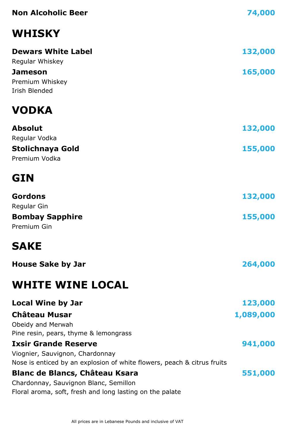| <b>Non Alcoholic Beer</b>                                                                                  | 74,000    |
|------------------------------------------------------------------------------------------------------------|-----------|
| <b>WHISKY</b>                                                                                              |           |
| <b>Dewars White Label</b><br>Regular Whiskey                                                               | 132,000   |
| <b>Jameson</b>                                                                                             | 165,000   |
| Premium Whiskey<br>Irish Blended                                                                           |           |
| <b>VODKA</b>                                                                                               |           |
| <b>Absolut</b>                                                                                             | 132,000   |
| Regular Vodka                                                                                              |           |
| <b>Stolichnaya Gold</b><br>Premium Vodka                                                                   | 155,000   |
|                                                                                                            |           |
| <b>GIN</b>                                                                                                 |           |
| <b>Gordons</b>                                                                                             | 132,000   |
| Regular Gin                                                                                                |           |
| <b>Bombay Sapphire</b><br>Premium Gin                                                                      | 155,000   |
| <b>SAKE</b>                                                                                                |           |
| <b>House Sake by Jar</b>                                                                                   | 264,000   |
| <b>WHITE WINE LOCAL</b>                                                                                    |           |
| <b>Local Wine by Jar</b>                                                                                   | 123,000   |
| <b>Château Musar</b>                                                                                       | 1,089,000 |
| Obeidy and Merwah                                                                                          |           |
| Pine resin, pears, thyme & lemongrass<br><b>Ixsir Grande Reserve</b>                                       | 941,000   |
| Viognier, Sauvignon, Chardonnay<br>Nose is enticed by an explosion of white flowers, peach & citrus fruits |           |
| <b>Blanc de Blancs, Château Ksara</b>                                                                      | 551,000   |
| Chardonnay, Sauvignon Blanc, Semillon<br>Floral aroma, soft, fresh and long lasting on the palate          |           |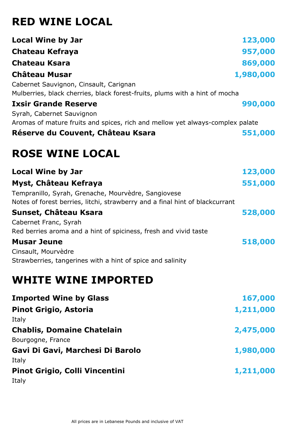# **RED WINE LOCAL**

| <b>Local Wine by Jar</b>                                                                                                            | 123,000   |
|-------------------------------------------------------------------------------------------------------------------------------------|-----------|
| Chateau Kefraya                                                                                                                     | 957,000   |
| <b>Chateau Ksara</b>                                                                                                                | 869,000   |
| <b>Château Musar</b>                                                                                                                | 1,980,000 |
| Cabernet Sauvignon, Cinsault, Carignan<br>Mulberries, black cherries, black forest-fruits, plums with a hint of mocha               |           |
| <b>Ixsir Grande Reserve</b>                                                                                                         | 990,000   |
| Syrah, Cabernet Sauvignon                                                                                                           |           |
| Aromas of mature fruits and spices, rich and mellow yet always-complex palate                                                       |           |
| Réserve du Couvent, Château Ksara                                                                                                   | 551,000   |
| <b>ROSE WINE LOCAL</b>                                                                                                              |           |
| <b>Local Wine by Jar</b>                                                                                                            | 123,000   |
| Myst, Château Kefraya                                                                                                               | 551,000   |
| Tempranillo, Syrah, Grenache, Mourvèdre, Sangiovese<br>Notes of forest berries, litchi, strawberry and a final hint of blackcurrant |           |
| Sunset, Château Ksara                                                                                                               | 528,000   |
| Cabernet Franc, Syrah<br>Red berries aroma and a hint of spiciness, fresh and vivid taste                                           |           |
| <b>Musar Jeune</b>                                                                                                                  | 518,000   |
| Cinsault, Mourvèdre                                                                                                                 |           |
| Strawberries, tangerines with a hint of spice and salinity                                                                          |           |
| <b>WHITE WINE IMPORTED</b>                                                                                                          |           |
| <b>Imported Wine by Glass</b>                                                                                                       | 167,000   |
| <b>Pinot Grigio, Astoria</b>                                                                                                        | 1,211,000 |
| Italy                                                                                                                               |           |
| <b>Chablis, Domaine Chatelain</b><br>Bourgogne, France                                                                              | 2,475,000 |
| Gavi Di Gavi, Marchesi Di Barolo                                                                                                    | 1,980,000 |
| Italy                                                                                                                               |           |
| <b>Pinot Grigio, Colli Vincentini</b><br>Italy                                                                                      | 1,211,000 |